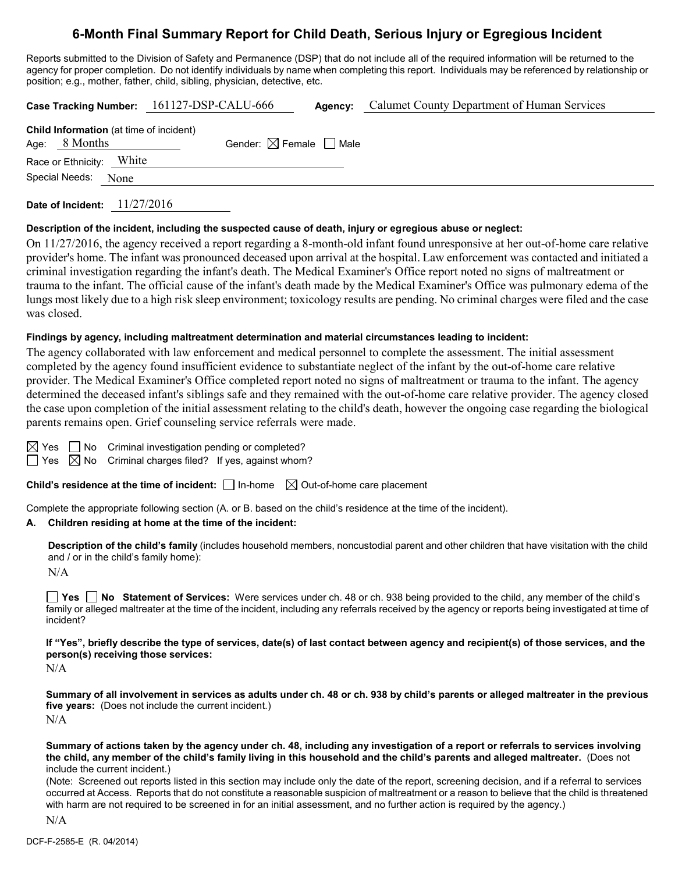# **6-Month Final Summary Report for Child Death, Serious Injury or Egregious Incident**

Reports submitted to the Division of Safety and Permanence (DSP) that do not include all of the required information will be returned to the agency for proper completion. Do not identify individuals by name when completing this report. Individuals may be referenced by relationship or position; e.g., mother, father, child, sibling, physician, detective, etc.

|                                                                   | Case Tracking Number: 161127-DSP-CALU-666 | Agency: | Calumet County Department of Human Services |
|-------------------------------------------------------------------|-------------------------------------------|---------|---------------------------------------------|
| <b>Child Information</b> (at time of incident)<br>Age: $8$ Months | Gender: $\boxtimes$ Female $\Box$ Male    |         |                                             |
| Race or Ethnicity: White                                          |                                           |         |                                             |
| Special Needs: None                                               |                                           |         |                                             |
|                                                                   |                                           |         |                                             |

**Date of Incident:** 11/27/2016

#### **Description of the incident, including the suspected cause of death, injury or egregious abuse or neglect:**

On 11/27/2016, the agency received a report regarding a 8-month-old infant found unresponsive at her out-of-home care relative provider's home. The infant was pronounced deceased upon arrival at the hospital. Law enforcement was contacted and initiated a criminal investigation regarding the infant's death. The Medical Examiner's Office report noted no signs of maltreatment or trauma to the infant. The official cause of the infant's death made by the Medical Examiner's Office was pulmonary edema of the lungs most likely due to a high risk sleep environment; toxicology results are pending. No criminal charges were filed and the case was closed.

#### **Findings by agency, including maltreatment determination and material circumstances leading to incident:**

The agency collaborated with law enforcement and medical personnel to complete the assessment. The initial assessment completed by the agency found insufficient evidence to substantiate neglect of the infant by the out-of-home care relative provider. The Medical Examiner's Office completed report noted no signs of maltreatment or trauma to the infant. The agency determined the deceased infant's siblings safe and they remained with the out-of-home care relative provider. The agency closed the case upon completion of the initial assessment relating to the child's death, however the ongoing case regarding the biological parents remains open. Grief counseling service referrals were made.

| ⊨ |  |
|---|--|
|   |  |

 $\Box$  No Criminal investigation pending or completed?

Yes  $\boxtimes$  No Criminal charges filed? If yes, against whom?

**Child's residence at the time of incident:**  $\Box$  In-home  $\Box$  Out-of-home care placement

Complete the appropriate following section (A. or B. based on the child's residence at the time of the incident).

#### **A. Children residing at home at the time of the incident:**

**Description of the child's family** (includes household members, noncustodial parent and other children that have visitation with the child and / or in the child's family home):

 $N/A$ 

**Yes No Statement of Services:** Were services under ch. 48 or ch. 938 being provided to the child, any member of the child's family or alleged maltreater at the time of the incident, including any referrals received by the agency or reports being investigated at time of incident?

**If "Yes", briefly describe the type of services, date(s) of last contact between agency and recipient(s) of those services, and the person(s) receiving those services:**

N/A

**Summary of all involvement in services as adults under ch. 48 or ch. 938 by child's parents or alleged maltreater in the previous five years:** (Does not include the current incident.) N/A

**Summary of actions taken by the agency under ch. 48, including any investigation of a report or referrals to services involving the child, any member of the child's family living in this household and the child's parents and alleged maltreater.** (Does not include the current incident.)

(Note: Screened out reports listed in this section may include only the date of the report, screening decision, and if a referral to services occurred at Access. Reports that do not constitute a reasonable suspicion of maltreatment or a reason to believe that the child is threatened with harm are not required to be screened in for an initial assessment, and no further action is required by the agency.)

N/A